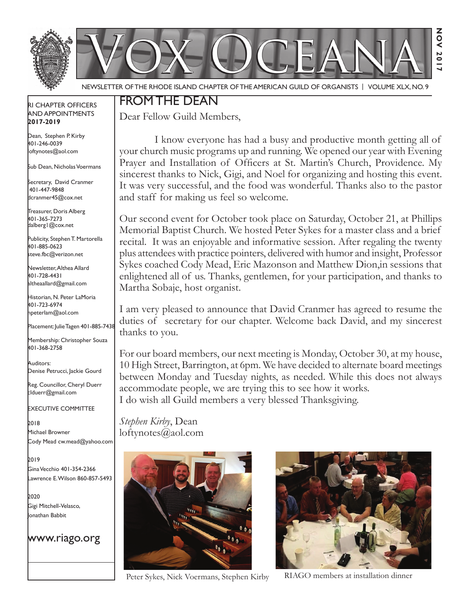

Newsletter of the Rhode Island Chapter of the American Guild of OrganistS | Volume XLX, No. 9

### RI Chapter Officers and Appointments **2017-2019**

Dean, Stephen P. Kirby 401-246-0039 loftynotes@aol.com

Sub Dean, Nicholas Voermans

Secretary, David Cranmer 401-447-9848 dcranmer45@cox.net

Treasurer, Doris Alberg 401-365-7273 dalberg1@cox.net

I Publicity, Stephen T. Martorella 401-885-0623 steve.fbc@verizon.net

Newsletter, Althea Allard 401-728-4431 altheaallard@gmail.com

Historian, N. Peter LaMoria 401-723-6974 npeterlam@aol.com

Placement: Julie Tagen 401-885-7438

Membership: Christopher Souza 401-368-2758

Auditors: Denise Petrucci, Jackie Gourd

Reg. Councillor, Cheryl Duerr clduerr@gmail.com

Executive Committee

2018 Michael Browner Cody Mead cw.mead@yahoo.com

2019 Gina Vecchio 401-354-2366 Lawrence E. Wilson 860-857-5493

2020 Gigi Mitchell-Velasco, Jonathan Babbit

www.riago.org

## From the Dean

Dear Fellow Guild Members,

 I know everyone has had a busy and productive month getting all of your church music programs up and running. We opened our year with Evening Prayer and Installation of Officers at St. Martin's Church, Providence. My sincerest thanks to Nick, Gigi, and Noel for organizing and hosting this event. It was very successful, and the food was wonderful. Thanks also to the pastor and staff for making us feel so welcome.

Our second event for October took place on Saturday, October 21, at Phillips Memorial Baptist Church. We hosted Peter Sykes for a master class and a brief recital. It was an enjoyable and informative session. After regaling the twenty plus attendees with practice pointers, delivered with humor and insight, Professor Sykes coached Cody Mead, Eric Mazonson and Matthew Dion,in sessions that enlightened all of us. Thanks, gentlemen, for your participation, and thanks to Martha Sobaje, host organist.

I am very pleased to announce that David Cranmer has agreed to resume the duties of secretary for our chapter. Welcome back David, and my sincerest thanks to you.

For our board members, our next meeting is Monday, October 30, at my house, 10 High Street, Barrington, at 6pm. We have decided to alternate board meetings between Monday and Tuesday nights, as needed. While this does not always accommodate people, we are trying this to see how it works. I do wish all Guild members a very blessed Thanksgiving.

*Stephen Kirby*, Dean loftynotes@aol.com



Peter Sykes, Nick Voermans, Stephen Kirby RIAGO members at installation dinner